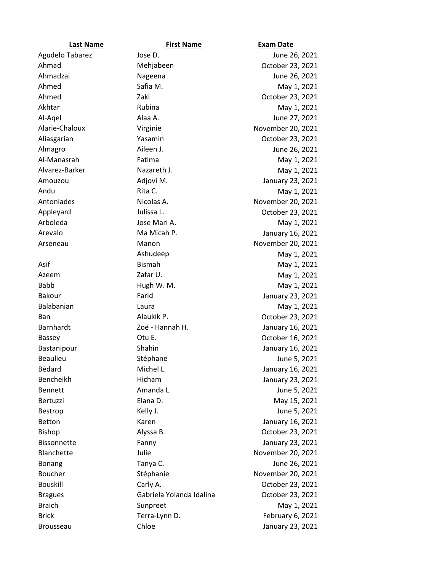| <b>Last Name</b>  | <b>First Name</b>        | <b>Exam Date</b>  |
|-------------------|--------------------------|-------------------|
| Agudelo Tabarez   | Jose D.                  | June 26, 2021     |
| Ahmad             | Mehjabeen                | October 23, 2021  |
| Ahmadzai          | Nageena                  | June 26, 2021     |
| Ahmed             | Safia M.                 | May 1, 2021       |
| Ahmed             | Zaki                     | October 23, 2021  |
| Akhtar            | Rubina                   | May 1, 2021       |
| Al-Aqel           | Alaa A.                  | June 27, 2021     |
| Alarie-Chaloux    | Virginie                 | November 20, 2021 |
| Aliasgarian       | Yasamin                  | October 23, 2021  |
| Almagro           | Aileen J.                | June 26, 2021     |
| Al-Manasrah       | Fatima                   | May 1, 2021       |
| Alvarez-Barker    | Nazareth J.              | May 1, 2021       |
| Amouzou           | Adjovi M.                | January 23, 2021  |
| Andu              | Rita C.                  | May 1, 2021       |
| Antoniades        | Nicolas A.               | November 20, 2021 |
| Appleyard         | Julissa L.               | October 23, 2021  |
| Arboleda          | Jose Mari A.             | May 1, 2021       |
| Arevalo           | Ma Micah P.              | January 16, 2021  |
| Arseneau          | Manon                    | November 20, 2021 |
|                   | Ashudeep                 | May 1, 2021       |
| Asif              | <b>Bismah</b>            | May 1, 2021       |
| Azeem             | Zafar U.                 | May 1, 2021       |
| <b>Babb</b>       | Hugh W. M.               | May 1, 2021       |
| Bakour            | Farid                    | January 23, 2021  |
| Balabanian        | Laura                    | May 1, 2021       |
| <b>Ban</b>        | Alaukik P.               | October 23, 2021  |
| Barnhardt         | Zoë - Hannah H.          | January 16, 2021  |
| Bassey            | Otu E.                   | October 16, 2021  |
| Bastanipour       | Shahin                   | January 16, 2021  |
| <b>Beaulieu</b>   | Stéphane                 | June 5, 2021      |
| Bédard            | Michel L.                | January 16, 2021  |
| Bencheikh         | Hicham                   | January 23, 2021  |
| Bennett           | Amanda L.                | June 5, 2021      |
| Bertuzzi          | Elana D.                 | May 15, 2021      |
| Bestrop           | Kelly J.                 | June 5, 2021      |
| Betton            | Karen                    | January 16, 2021  |
| <b>Bishop</b>     | Alyssa B.                | October 23, 2021  |
| Bissonnette       | Fanny                    | January 23, 2021  |
| <b>Blanchette</b> | Julie                    | November 20, 2021 |
| <b>Bonang</b>     | Tanya C.                 | June 26, 2021     |
| Boucher           | Stéphanie                | November 20, 2021 |
| <b>Bouskill</b>   | Carly A.                 | October 23, 2021  |
| <b>Bragues</b>    | Gabriela Yolanda Idalina | October 23, 2021  |
| <b>Braich</b>     | Sunpreet                 | May 1, 2021       |
| <b>Brick</b>      | Terra-Lynn D.            | February 6, 2021  |
| <b>Brousseau</b>  | Chloe                    | January 23, 2021  |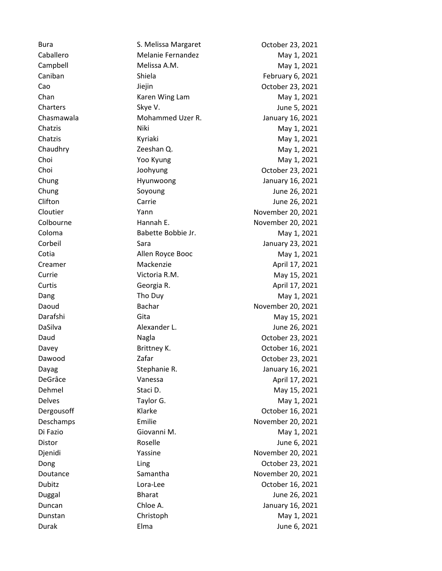Bura **S. Melissa Margaret** Correspondent Correspondent Correspondent Correspondent Correspondent Correspondent Co Caballero Melanie Fernandez May 1, 2021 Campbell **Melissa A.M.** Melissa A.M. May 1, 2021 Caniban Shiela February 6, 2021 Cao Jiejin October 23, 2021 Chan **Chan** Karen Wing Lam **May 1, 2021** Charters Skye V. Skye V. Skye V. Skye V. Sharters Sharters and States June 5, 2021 Chasmawala Mohammed Uzer R. January 16, 2021 Chatzis Miki Niki May 1, 2021 Chatzis May 1, 2021 Chaudhry **Chaudhry Chaudhry 2021** Zeeshan Q. Chaudhry May 1, 2021 Choi **Navid 1, 2021** Yoo Kyung May 1, 2021 Choi Joohyung Choi Cotober 23, 2021 Chung **Chung** Hyunwoong **January 16, 2021** Chung Covered Soyoung Chung June 26, 2021 Clifton Carrie June 26, 2021 Cloutier Yann November 20, 2021 Colbourne **Hannah E.** November 20, 2021 Coloma Babette Bobbie Jr. May 1, 2021 Corbeil Sara January 23, 2021 Cotia Allen Royce Booc May 1, 2021 Creamer Mackenzie Mackenzie April 17, 2021 Currie Currie Victoria R.M. May 15, 2021 Curtis Company Georgia R. April 17, 2021 Dang **Tho Duy** The Duy **May 1, 2021** Daoud Bachar November 20, 2021 Darafshi Gita Gita May 15, 2021 DaSilva Alexander L. June 26, 2021 Daud Nagla October 23, 2021 Davey Brittney K. Charles Brittney K. Charles Bottober 16, 2021 Dawood **Zafar** Zafar **Communist Communist Communist Communist Communist Communist Communist Communist Communist Communist Communist Communist Communist Communist Communist Communist Communist Communist Communist Communist** Dayag Stephanie R. January 16, 2021 DeGrâce Vanessa April 17, 2021 Dehmel Staci D. Staci D. May 15, 2021 Delves **Taylor G.** Taylor G. May 1, 2021 Dergousoff **Example 2021** Klarke **Container Management Container Propose** October 16, 2021 Deschamps Emilie November 20, 2021 Di Fazio **Giovanni M.** Giovanni M. May 1, 2021 Distor Roselle June 6, 2021 Djenidi Yassine November 20, 2021 Dong Ling Ling Cotober 23, 2021 Doutance Samantha November 20, 2021 Dubitz Lora-Lee October 16, 2021 Duggal Bharat June 26, 2021 Duncan Chloe A. January 16, 2021 Dunstan Christoph May 1, 2021 Durak Elma June 6, 2021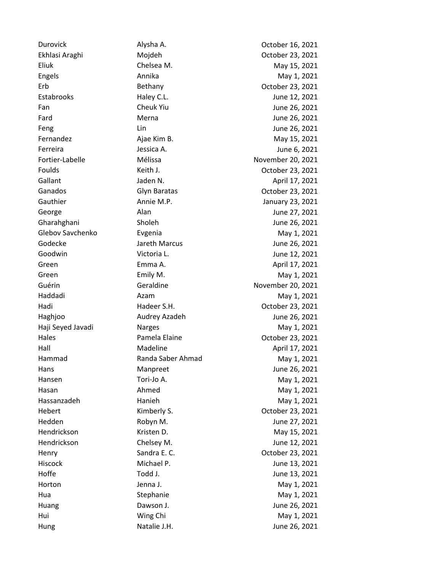Durovick Alysha A. October 16, 2021 Ekhlasi Araghi Mojdeh October 23, 2021 Eliuk Chelsea M. May 15, 2021 Engels **Annika** Annika May 1, 2021 Erb Bethany October 23, 2021 Estabrooks **Haley C.L.** Haley C.L. June 12, 2021 Fan Cheuk Yiu Cheuk Yiu June 26, 2021 Fard **Merna** Merna June 26, 2021 Feng Lin Lin June 26, 2021 Fernandez **Ajae Kim B.** May 15, 2021 Ferreira Jessica A. June 6, 2021 Fortier-Labelle Mélissa November 20, 2021 Foulds Keith J. October 23, 2021 Gallant **Gallant** Jaden N. April 17, 2021 Ganados Glyn Baratas October 23, 2021 Gauthier **Annie M.P.** Annie M.P. **January 23, 2021** George **Alan** Alan Alan June 27, 2021 Gharahghani Sholeh June 26, 2021 Glebov Savchenko Evgenia May 1, 2021 Godecke Jareth Marcus June 26, 2021 Goodwin **Communist Communist Communist Communist Communist Communist Communist Communist Communist Communist Communist Communist Communist Communist Communist Communist Communist Communist Communist Communist Communist Com** Green **Emma A. Emma A. April 17, 2021** Green Emily M. Emily M. Nay 1, 2021 Guérin Geraldine Geraldine November 20, 2021 Haddadi Azam May 1, 2021 Hadi Hadeer S.H. October 23, 2021 Haghjoo Audrey Azadeh June 26, 2021 Haji Seyed Javadi Narges May 1, 2021 Hales **Pamela Elaine Pamela Elaine C CE October 23, 2021** Hall Madeline **Madeline** April 17, 2021 Hammad Randa Saber Ahmad May 1, 2021 Hans **Manpreet** Manpreet **Manpreed** Manpreed Manpreed Manual Manual Manual Manual Manual Manual Manual Manual Manual Manual Manual Manual Manual Manual Manual Manual Manual Manual Manual Manual Manual Manual Manual Manual Hansen **May 1, 2021** Tori-Jo A. May 1, 2021 Hasan **Ahmed** Ahmed May 1, 2021 Hassanzadeh May 1, 2021 Hebert Kimberly S. October 23, 2021 Hedden Robyn M. June 27, 2021 Hendrickson Kristen D. Kristen D. May 15, 2021 Hendrickson Chelsey M. June 12, 2021 Henry Sandra E. C. C. Commodities C. Contact the Control of the October 23, 2021 Hiscock Michael P. June 13, 2021 Hoffe Todd J. Todd J. Todd J. June 13, 2021 Horton **Horton** Jenna J. May 1, 2021 Hua **May 1, 2021** Stephanie May 1, 2021 Huang **Dawson J.** Dawson J. **Communist Communist Communist Communist Communist Communist Communist Communist Communist Communist Communist Communist Communist Communist Communist Communist Communist Communist Communist Com** Hui May 1, 2021 Ming Chi May 1, 2021

Hung **Natalie J.H. Natalie J.H. Natalie J.H. June 26, 2021**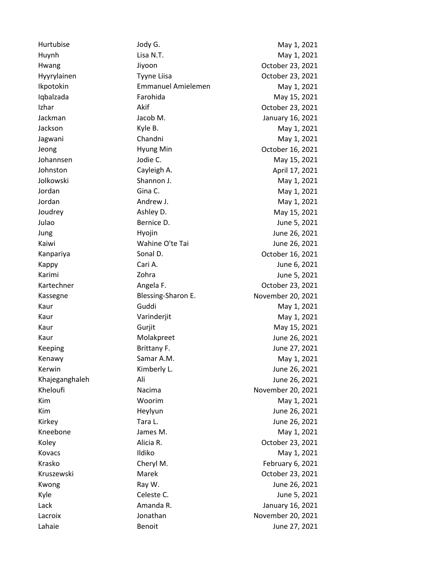Hurtubise Jody G. The May 1, 2021 Huynh **Lisa N.T.** Communication Communication Communication Communication Communication Communication Communication Hwang Jiyoon Jiyoon Cocober 23, 2021 Hyyrylainen Tyyne Liisa Coctober 23, 2021 Ikpotokin **Emmanuel Amielemen** May 1, 2021 Iqbalzada **Farohida** Farohida May 15, 2021 Izhar **Akif** Akif **October 23, 2021** Jackman Jacob M. January 16, 2021 Jackson Kyle B. May 1, 2021 Jagwani Chandni Chandni May 1, 2021 Jeong Hyung Min October 16, 2021 Johannsen Jodie C. May 15, 2021 Johnston Cayleigh A. April 17, 2021 Jolkowski Shannon J. May 1, 2021 Jordan Gina C. May 1, 2021 Jordan **Andrew J.** Andrew J. May 1, 2021 Joudrey Ashley D. May 15, 2021 Julao Bernice D. June 5, 2021 Jung Hyojin June 26, 2021 Kaiwi **Wahine O'te Tai** June 26, 2021 Kanpariya **Sonal D.** Sonal D. Campariya Sonal D. Canada Sonal D. Canada Sonal Muslim Controller 16, 2021 Kappy **Cari A.** Cari A. Cari A. Cari A. Cari A. Cari A. Cari A. Cari A. Cari A. Cari A. Cari A. Cari A. Cari A. C Karimi Zohra June 5, 2021 Kartechner Angela F. October 23, 2021 Kassegne **Blessing-Sharon E.** November 20, 2021 Kaur Guddi Guddi May 1, 2021 Kaur **May 1, 2021** Varinderjit May 1, 2021 Kaur Gurjit Gurjit May 15, 2021 Kaur **Molakpreet** Molakpreet June 26, 2021 Keeping Brittany F. School and State Brittany F. And State Brittany F. According to the Mune 27, 2021 Kenawy **Samar A.M.** Samar A.M. May 1, 2021 Kerwin **Kimberly L.** Communist Communist Communist Communist Communist Communist Communist Communist Communist Communist Communist Communist Communist Communist Communist Communist Communist Communist Communist Communist C Khajeganghaleh Ali June 26, 2021 Kheloufi **Nacima** Nacima November 20, 2021 Kim May 1, 2021 Kim Heylyun June 26, 2021 Kirkey **Tara L.** Tara L. June 26, 2021 Kneebone **May 1, 2021** James M. May 1, 2021 Koley **Alicia R.** Alicia R. Corober 23, 2021 Kovacs and Ildiko III and Ildiko May 1, 2021 Krasko Cheryl M. Cheryl M. February 6, 2021 Kruszewski Marek October 23, 2021 Kwong **Ray W.** Ray W. **If the 26, 2021** Kyle Celeste C. Collecter C. The State C. The Celeste C. The Collection of the C. The Collection of the C. The C Lack Amanda R. January 16, 2021 Lacroix **Mathan** Jonathan Movember 20, 2021 Lahaie **Benoit** Benoit **Benoit June 27, 2021**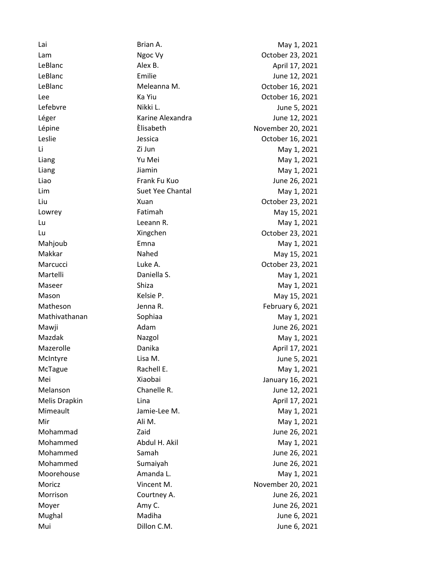Lai Brian A. May 1, 2021 Lam Ngoc Vy Charles Ngoc Vy Cotober 23, 2021 LeBlanc Alex B. April 17, 2021 LeBlanc **Emilie** Emilie Emilie and the LeBlanc LeBlanc and Emilie and Tennis and the LeBlanc LeBlanc and Tennis LeBlanc Meleanna M. October 16, 2021 Lee Contract Contract Contract Contract Contract Contract Contract Contract Contract Contract Contract Contract Contract Contract Contract Contract Contract Contract Contract Contract Contract Contract Contract Contract Co Lefebvre Nikki L. Nikki L. June 5, 2021 Léger Carrie Alexandra (Alexandra June 12, 2021 Lépine Èlisabeth November 20, 2021 Leslie Jessica October 16, 2021 Li Zi Jun May 1, 2021 Liang Contract Contract Contract Contract Contract Contract Contract Contract Contract Contract Contract Contract Contract Contract Contract Contract Contract Contract Contract Contract Contract Contract Contract Contract Liang Jiamin May 1, 2021 Liao Frank Fu Kuo June 26, 2021 Lim Suet Yee Chantal May 1, 2021 Liu Xuan October 23, 2021 Lowrey **Fatimah** Fatimah May 15, 2021 Lu Leeann R. May 1, 2021 Lu Xingchen October 23, 2021 Mahjoub **Emna** Emna May 1, 2021 Makkar Nahed May 15, 2021 Marcucci Luke A. October 23, 2021 Martelli **Martelli** Daniella S. May 1, 2021 Maseer Shiza Shiza Shiza May 1, 2021 Mason **Manufacture Controller Manufacture Controller Manufacture May 15, 2021** Matheson **International State Communist Contract Contract Contract Contract Contract Contract Contract Contract Contract Contract Contract Contract Contract Contract Contract Contract Contract Contract Contract Contract Co** Mathivathanan Sophiaa May 1, 2021 Mawji **Adam** Adam June 26, 2021 Mazdak Nazgol May 1, 2021 Mazerolle **April 17, 2021** Danika **Communist Communist Communist Communist Communist Communist Communist Communist Communist Communist Communist Communist Communist Communist Communist Communist Communist Communist Communi** McIntyre Lisa M. June 5, 2021 McTague Rachell E. May 1, 2021 Mei Xiaobai January 16, 2021 Melanson Chanelle R. Chanelle R. June 12, 2021 Melis Drapkin **Lina** Lina **April 17, 2021** Mimeault **A. M. Markow Jamie-Lee M.** May 1, 2021 Mir **Mir Ali M.** Ali M. May 1, 2021 Mohammad Zaid Zaid June 26, 2021 Mohammed Abdul H. Akil May 1, 2021 Mohammed Samah Samah June 26, 2021 Mohammed Sumaiyah June 26, 2021 Moorehouse **Amanda L.** Amanda L. May 1, 2021 Moricz Vincent M. November 20, 2021 Morrison Courtney A. June 26, 2021 Moyer **Amy C.** Amy C. Amy C. Amy C. Amy C. And June 26, 2021 Mughal **Madiha** Madiha Madiha June 6, 2021 Mui Dillon C.M. June 6, 2021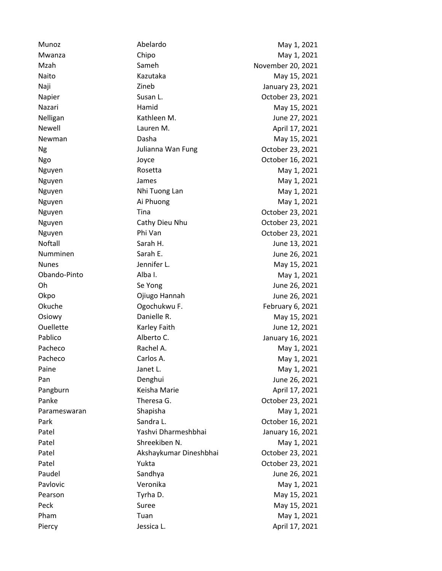| Munoz        | Abelardo               | May 1, 2021       |
|--------------|------------------------|-------------------|
| Mwanza       | Chipo                  | May 1, 2021       |
| Mzah         | Sameh                  | November 20, 2021 |
| Naito        | Kazutaka               | May 15, 2021      |
| Naji         | Zineb                  | January 23, 2021  |
| Napier       | Susan L.               | October 23, 2021  |
| Nazari       | Hamid                  | May 15, 2021      |
| Nelligan     | Kathleen M.            | June 27, 2021     |
| Newell       | Lauren M.              | April 17, 2021    |
| Newman       | Dasha                  | May 15, 2021      |
| Ng           | Julianna Wan Fung      | October 23, 2021  |
| Ngo          | Joyce                  | October 16, 2021  |
| Nguyen       | Rosetta                | May 1, 2021       |
| Nguyen       | James                  | May 1, 2021       |
| Nguyen       | Nhi Tuong Lan          | May 1, 2021       |
| Nguyen       | Ai Phuong              | May 1, 2021       |
| Nguyen       | Tina                   | October 23, 2021  |
| Nguyen       | Cathy Dieu Nhu         | October 23, 2021  |
| Nguyen       | Phi Van                | October 23, 2021  |
| Noftall      | Sarah H.               | June 13, 2021     |
| Numminen     | Sarah E.               | June 26, 2021     |
| <b>Nunes</b> | Jennifer L.            | May 15, 2021      |
| Obando-Pinto | Alba I.                | May 1, 2021       |
| Oh           | Se Yong                | June 26, 2021     |
| Okpo         | Ojiugo Hannah          | June 26, 2021     |
| Okuche       | Ogochukwu F.           | February 6, 2021  |
| Osiowy       | Danielle R.            | May 15, 2021      |
| Ouellette    | Karley Faith           | June 12, 2021     |
| Pablico      | Alberto C.             | January 16, 2021  |
| Pacheco      | Rachel A.              | May 1, 2021       |
| Pacheco      | Carlos A.              | May 1, 2021       |
| Paine        | Janet L.               | May 1, 2021       |
| Pan          | Denghui                | June 26, 2021     |
| Pangburn     | Keisha Marie           | April 17, 2021    |
| Panke        | Theresa G.             | October 23, 2021  |
| Parameswaran | Shapisha               | May 1, 2021       |
| Park         | Sandra L.              | October 16, 2021  |
| Patel        | Yashvi Dharmeshbhai    | January 16, 2021  |
| Patel        | Shreekiben N.          | May 1, 2021       |
| Patel        | Akshaykumar Dineshbhai | October 23, 2021  |
| Patel        | Yukta                  | October 23, 2021  |
| Paudel       | Sandhya                | June 26, 2021     |
| Pavlovic     | Veronika               | May 1, 2021       |
| Pearson      | Tyrha D.               | May 15, 2021      |
| Peck         | Suree                  | May 15, 2021      |
| Pham         | Tuan                   | May 1, 2021       |
| Piercy       | Jessica L.             | April 17, 2021    |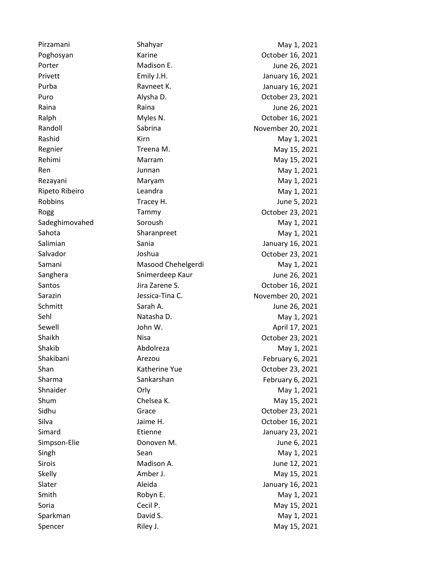Pirzamani Shahyar Shahyar May 1, 2021 Poghosyan **Karine** Karine **Communist Communist Communist Communist Communist Communist Communist Communist Communist Communist Communist Communist Communist Communist Communist Communist Communist Communist Communist Commu** Porter **Madison E.** And Madison E. And Madison E. And Madison E. And Madison E. And Madison E. And Madison E. Privett Emily J.H. January 16, 2021 Purba **Ravneet K.** January 16, 2021 Puro **Puro Alysha D.** Alysha D. Company Company Alysha D. Company Alysha D. Company Alysha D. Company October 23, 2021 Raina **Raina** Raina Raina Raina Research and the *Research* Hune 26, 2021 Ralph Myles N. Corober 16, 2021 Randoll **Sabrina** Sabrina November 20, 2021 Rashid Kirn Kirn May 1, 2021 Regnier **Treena M.** Treena M. May 15, 2021 Rehimi Marram May 15, 2021 Ren May 1, 2021 **Junnan May 1, 2021** Rezayani Maryam May 1, 2021 Ripeto Ribeiro **May 1, 2021** Leandra May 1, 2021 Robbins **Tracey H.** Tracey H. **June 5, 2021** Rogg Tammy Tammy Cotober 23, 2021 Sadeghimovahed Soroush Soroush May 1, 2021 Sahota Sharanpreet May 1, 2021 Salimian Sania January 16, 2021 Salvador **Joshua** Joshua **Carry Communist Communist Communist Communist Communist Communist Communist Communist Communist Communist Communist Communist Communist Communist Communist Communist Communist Communist Communist** Samani Masood Chehelgerdi May 1, 2021 Sanghera Snimerdeep Kaur June 26, 2021 Santos Jira Zarene S. October 16, 2021 Sarazin Jessica-Tina C. November 20, 2021 Schmitt **Sarah A.** Sarah A. Sarah A. Sarah A. Sarah A. Sarah A. Sarah A. Sarah A. Sarah A. Sarah A. Sarah A. Sarah A. Sarah A. Sarah A. Sarah A. Sarah A. Sarah A. Sarah A. Sarah A. Sarah A. Sarah A. Sarah A. Sarah A. Sarah Sehl **Natasha D.** Matasha D. May 1, 2021 Sewell Sewell John W. April 17, 2021 Shaikh Nisa Nisa October 23, 2021 Shakib **Abdolreza** Abdolreza May 1, 2021 Shakibani Arezou February 6, 2021 Shan Katherine Yue Coctober 23, 2021 Sharma **Sankarshan** Sankarshan February 6, 2021 Shnaider **Orly** Orly **May 1, 2021** Shum Chelsea K. May 15, 2021 Sidhu Grace October 23, 2021 Silva Jaime H. October 16, 2021 Simard **Etienne** Etienne January 23, 2021 Simpson-Elie **Donoven M.** Donoven M. Simpson-Elie and Donoven M. Singh Sean Sean May 1, 2021 Sirois **Madison A.** Contract Madison A. Contract Madison A. Contract Munde 12, 2021 Skelly **Amber J.** Amber J. May 15, 2021 Slater Aleida January 16, 2021 Smith **Example 2018** Robyn E. May 1, 2021 Soria **Cecil P.** Cecil P. May 15, 2021 Sparkman David S. May 1, 2021

Spencer and Riley J. And Riley J. And Riley J. And May 15, 2021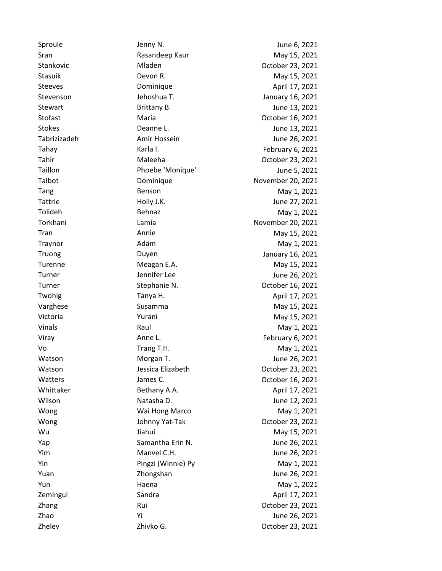Sproule **Supering Service Contract Service Contract Service Contract Service Contract Service Contract Service Contract Service Service Service Service Service Service Service Service Service Service Service Service Servic** Sran **May 15, 2021** Rasandeep Kaur May 15, 2021 Stankovic Mladen October 23, 2021 Stasuik Devon R. May 15, 2021 Steeves **Dominique Community** Dominique **April 17, 2021** Stevenson Jehoshua T. January 16, 2021 Stewart Brittany B. Charles Brittany B. Charles Brittany B. Stofast Maria Maria Corolet 16, 2021 Stokes **Stokes** Deanne L. **Deanne L.** June 13, 2021 Tabrizizadeh Amir Hossein June 26, 2021 Tahay **Karla I.** Karla I. **February 6, 2021** Tahir **Tahir** Maleeha **Maleeha** October 23, 2021 Taillon **Phoebe 'Monique'** June 5, 2021 Talbot Dominique November 20, 2021 Tang Benson Benson May 1, 2021 Tattrie **Holly J.K.** Holly J.K. June 27, 2021 Tolideh Behnaz Behnaz May 1, 2021 Torkhani Lamia November 20, 2021 Tran **Annie** May 15, 2021 Traynor **Adam** Adam May 1, 2021 Truong Duyen January 16, 2021 Turenne **Meagan E.A.** Meagan E.A. May 15, 2021 Turner Turner Construction of the June 26, 2021 Turner Stephanie N. Corollackson Corollackson Corollackson Corollackson Corollackson Corollackson Corollackson Twohig Tanya H. April 17, 2021 Varghese Susamma May 15, 2021 Victoria **May 15, 2021** Yurani May 15, 2021 Vinals **Raul May 1, 2021** Constants Raul May 1, 2021 Viray **Anne L.** Anne L. **February 6, 2021** Vo Trang T.H. May 1, 2021 Watson **Morgan T.** Communist Morgan T. Communist Music Music Music Music Music Music Music Music Music Music Music Music Music Music Music Music Music Music Music Music Music Music Music Music Music Music Music Music Music Watson Jessica Elizabeth October 23, 2021 Watters **Communist Communist Communist Communist Communist Communist Communist Communist Communist Communist Communist Communist Communist Communist Communist Communist Communist Communist Communist Communist Communist Com** Whittaker Bethany A.A. April 17, 2021 Wilson Natasha D. June 12, 2021 Wong **May 1, 2021** Wai Hong Marco **May 1, 2021** Wong **Iohnny Yat-Tak** October 23, 2021 Wu **Way 15, 2021** Yap Samantha Erin N. June 26, 2021 Yim Manvel C.H. June 26, 2021 Yin **Pingzi (Winnie) Py May 1, 2021** Yuan Zhongshan June 26, 2021 Yun **Haena** Haena May 1, 2021 Zemingui Candra Candra April 17, 2021 Zhang Rui Rui Corober 23, 2021 Zhao Yi June 26, 2021 Zhelev Zhivko G. October 23, 2021